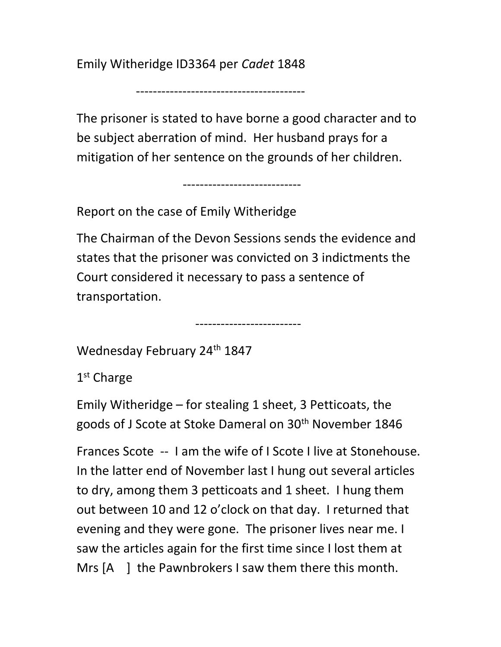Emily Witheridge ID3364 per Cadet 1848

----------------------------------------

The prisoner is stated to have borne a good character and to be subject aberration of mind. Her husband prays for a mitigation of her sentence on the grounds of her children.

----------------------------

Report on the case of Emily Witheridge

The Chairman of the Devon Sessions sends the evidence and states that the prisoner was convicted on 3 indictments the Court considered it necessary to pass a sentence of transportation.

-------------------------

Wednesday February 24<sup>th</sup> 1847

1 st Charge

Emily Witheridge – for stealing 1 sheet, 3 Petticoats, the goods of J Scote at Stoke Dameral on 30<sup>th</sup> November 1846

Frances Scote -- I am the wife of I Scote I live at Stonehouse. In the latter end of November last I hung out several articles to dry, among them 3 petticoats and 1 sheet. I hung them out between 10 and 12 o'clock on that day. I returned that evening and they were gone. The prisoner lives near me. I saw the articles again for the first time since I lost them at Mrs [A ] the Pawnbrokers I saw them there this month.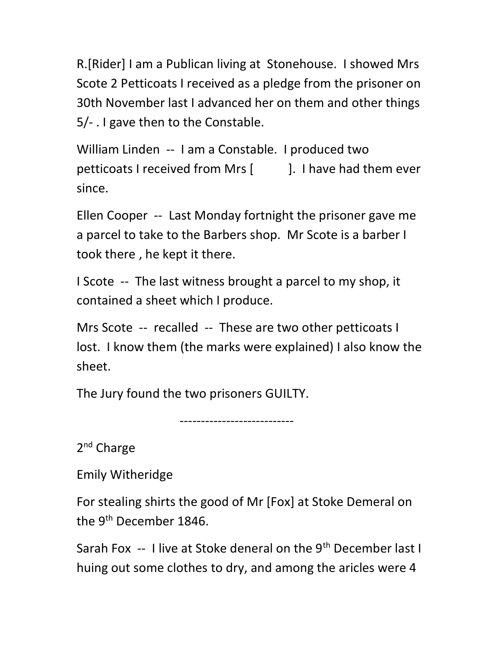R.[Rider] I am a Publican living at Stonehouse. I showed Mrs Scote 2 Petticoats I received as a pledge from the prisoner on 30th November last I advanced her on them and other things 5/- . I gave then to the Constable.

William Linden -- I am a Constable. I produced two petticoats I received from Mrs [ ]. I have had them ever since.

Ellen Cooper -- Last Monday fortnight the prisoner gave me a parcel to take to the Barbers shop. Mr Scote is a barber I took there , he kept it there.

I Scote -- The last witness brought a parcel to my shop, it contained a sheet which I produce.

Mrs Scote -- recalled -- These are two other petticoats I lost. I know them (the marks were explained) I also know the sheet.

The Jury found the two prisoners GUILTY.

---------------------------

2<sup>nd</sup> Charge

Emily Witheridge

For stealing shirts the good of Mr [Fox] at Stoke Demeral on the 9<sup>th</sup> December 1846.

Sarah Fox -- I live at Stoke deneral on the 9<sup>th</sup> December last I huing out some clothes to dry, and among the aricles were 4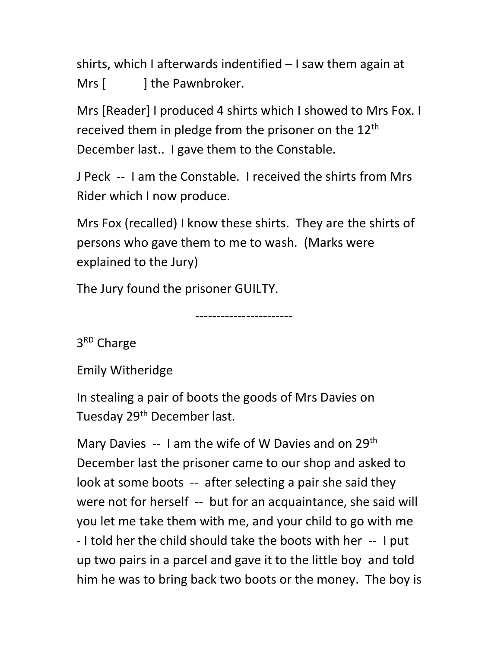shirts, which I afterwards indentified – I saw them again at Mrs [ ] the Pawnbroker.

Mrs [Reader] I produced 4 shirts which I showed to Mrs Fox. I received them in pledge from the prisoner on the  $12<sup>th</sup>$ December last.. I gave them to the Constable.

J Peck -- I am the Constable. I received the shirts from Mrs Rider which I now produce.

Mrs Fox (recalled) I know these shirts. They are the shirts of persons who gave them to me to wash. (Marks were explained to the Jury)

The Jury found the prisoner GUILTY.

-----------------------

3<sup>RD</sup> Charge

Emily Witheridge

In stealing a pair of boots the goods of Mrs Davies on Tuesday 29<sup>th</sup> December last.

Mary Davies  $-1$  am the wife of W Davies and on 29<sup>th</sup> December last the prisoner came to our shop and asked to look at some boots -- after selecting a pair she said they were not for herself -- but for an acquaintance, she said will you let me take them with me, and your child to go with me - I told her the child should take the boots with her -- I put up two pairs in a parcel and gave it to the little boy and told him he was to bring back two boots or the money. The boy is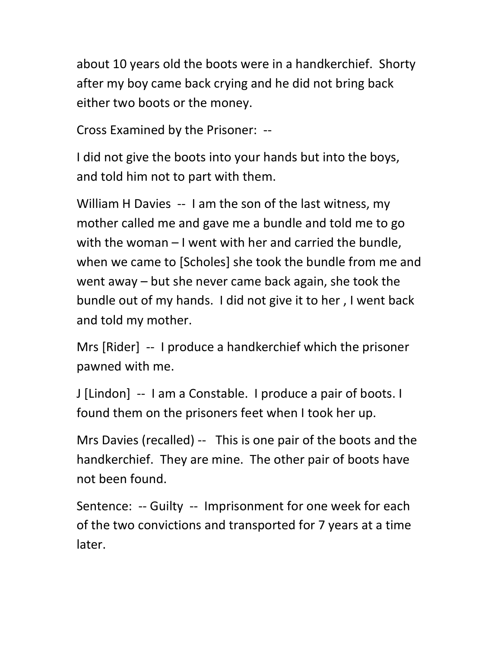about 10 years old the boots were in a handkerchief. Shorty after my boy came back crying and he did not bring back either two boots or the money.

Cross Examined by the Prisoner: --

I did not give the boots into your hands but into the boys, and told him not to part with them.

William H Davies -- I am the son of the last witness, my mother called me and gave me a bundle and told me to go with the woman – I went with her and carried the bundle, when we came to [Scholes] she took the bundle from me and went away – but she never came back again, she took the bundle out of my hands. I did not give it to her , I went back and told my mother.

Mrs [Rider] -- I produce a handkerchief which the prisoner pawned with me.

J [Lindon] -- I am a Constable. I produce a pair of boots. I found them on the prisoners feet when I took her up.

Mrs Davies (recalled) -- This is one pair of the boots and the handkerchief. They are mine. The other pair of boots have not been found.

Sentence: -- Guilty -- Imprisonment for one week for each of the two convictions and transported for 7 years at a time later.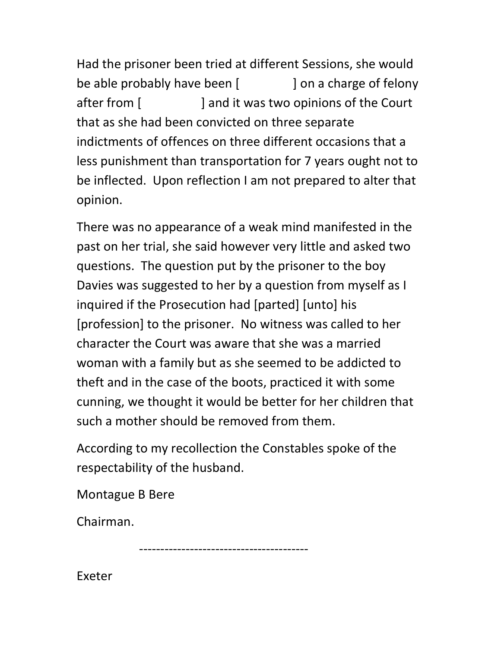Had the prisoner been tried at different Sessions, she would be able probably have been [ ] on a charge of felony after from [ ] and it was two opinions of the Court that as she had been convicted on three separate indictments of offences on three different occasions that a less punishment than transportation for 7 years ought not to be inflected. Upon reflection I am not prepared to alter that opinion.

There was no appearance of a weak mind manifested in the past on her trial, she said however very little and asked two questions. The question put by the prisoner to the boy Davies was suggested to her by a question from myself as I inquired if the Prosecution had [parted] [unto] his [profession] to the prisoner. No witness was called to her character the Court was aware that she was a married woman with a family but as she seemed to be addicted to theft and in the case of the boots, practiced it with some cunning, we thought it would be better for her children that such a mother should be removed from them.

According to my recollection the Constables spoke of the respectability of the husband.

Montague B Bere

Chairman.

----------------------------------------

Exeter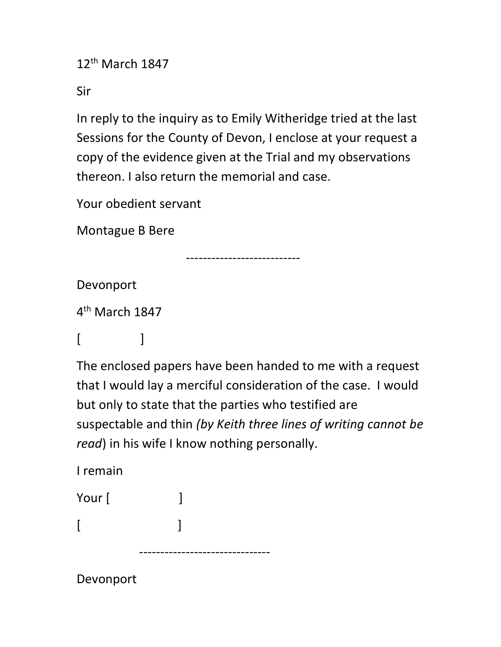12th March 1847

Sir

In reply to the inquiry as to Emily Witheridge tried at the last Sessions for the County of Devon, I enclose at your request a copy of the evidence given at the Trial and my observations thereon. I also return the memorial and case.

Your obedient servant

Montague B Bere

---------------------------

Devonport

4<sup>th</sup> March 1847

 $[$   $]$ 

The enclosed papers have been handed to me with a request that I would lay a merciful consideration of the case. I would but only to state that the parties who testified are suspectable and thin (by Keith three lines of writing cannot be read) in his wife I know nothing personally.

I remain

| Your [ |  |
|--------|--|
| ſ      |  |
|        |  |

Devonport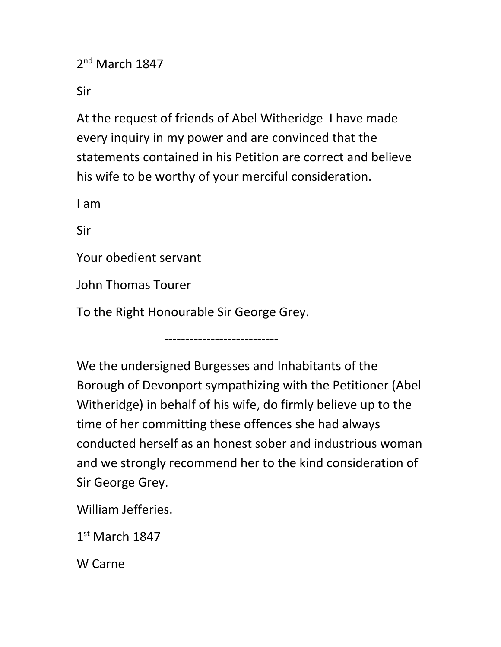2<sup>nd</sup> March 1847

Sir

At the request of friends of Abel Witheridge I have made every inquiry in my power and are convinced that the statements contained in his Petition are correct and believe his wife to be worthy of your merciful consideration.

I am

Sir

Your obedient servant

John Thomas Tourer

To the Right Honourable Sir George Grey.

---------------------------

We the undersigned Burgesses and Inhabitants of the Borough of Devonport sympathizing with the Petitioner (Abel Witheridge) in behalf of his wife, do firmly believe up to the time of her committing these offences she had always conducted herself as an honest sober and industrious woman and we strongly recommend her to the kind consideration of Sir George Grey.

William Jefferies.

1 st March 1847

W Carne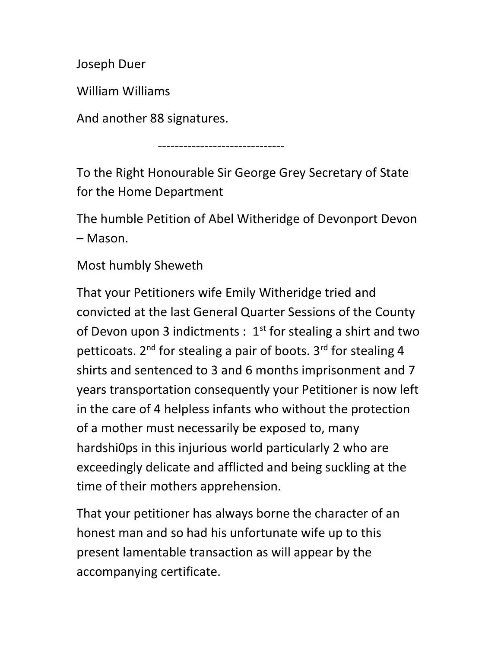Joseph Duer

William Williams

And another 88 signatures.

------------------------------

To the Right Honourable Sir George Grey Secretary of State for the Home Department

The humble Petition of Abel Witheridge of Devonport Devon – Mason.

## Most humbly Sheweth

That your Petitioners wife Emily Witheridge tried and convicted at the last General Quarter Sessions of the County of Devon upon 3 indictments :  $1<sup>st</sup>$  for stealing a shirt and two petticoats.  $2^{nd}$  for stealing a pair of boots.  $3^{rd}$  for stealing 4 shirts and sentenced to 3 and 6 months imprisonment and 7 years transportation consequently your Petitioner is now left in the care of 4 helpless infants who without the protection of a mother must necessarily be exposed to, many hardshi0ps in this injurious world particularly 2 who are exceedingly delicate and afflicted and being suckling at the time of their mothers apprehension.

That your petitioner has always borne the character of an honest man and so had his unfortunate wife up to this present lamentable transaction as will appear by the accompanying certificate.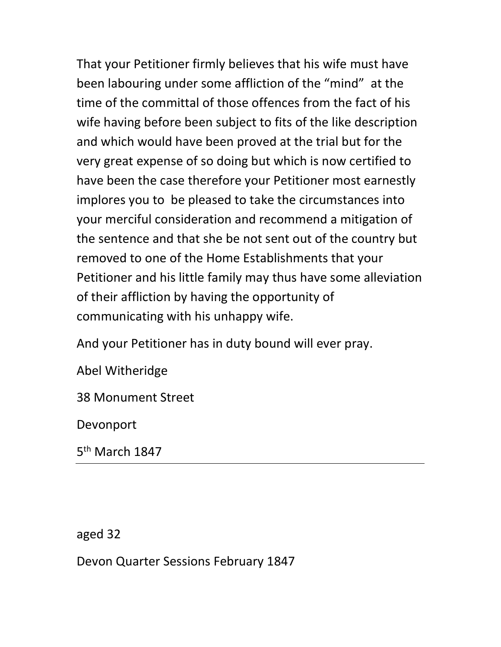That your Petitioner firmly believes that his wife must have been labouring under some affliction of the "mind" at the time of the committal of those offences from the fact of his wife having before been subject to fits of the like description and which would have been proved at the trial but for the very great expense of so doing but which is now certified to have been the case therefore your Petitioner most earnestly implores you to be pleased to take the circumstances into your merciful consideration and recommend a mitigation of the sentence and that she be not sent out of the country but removed to one of the Home Establishments that your Petitioner and his little family may thus have some alleviation of their affliction by having the opportunity of communicating with his unhappy wife.

And your Petitioner has in duty bound will ever pray.

Abel Witheridge

38 Monument Street

Devonport

5<sup>th</sup> March 1847

aged 32

Devon Quarter Sessions February 1847